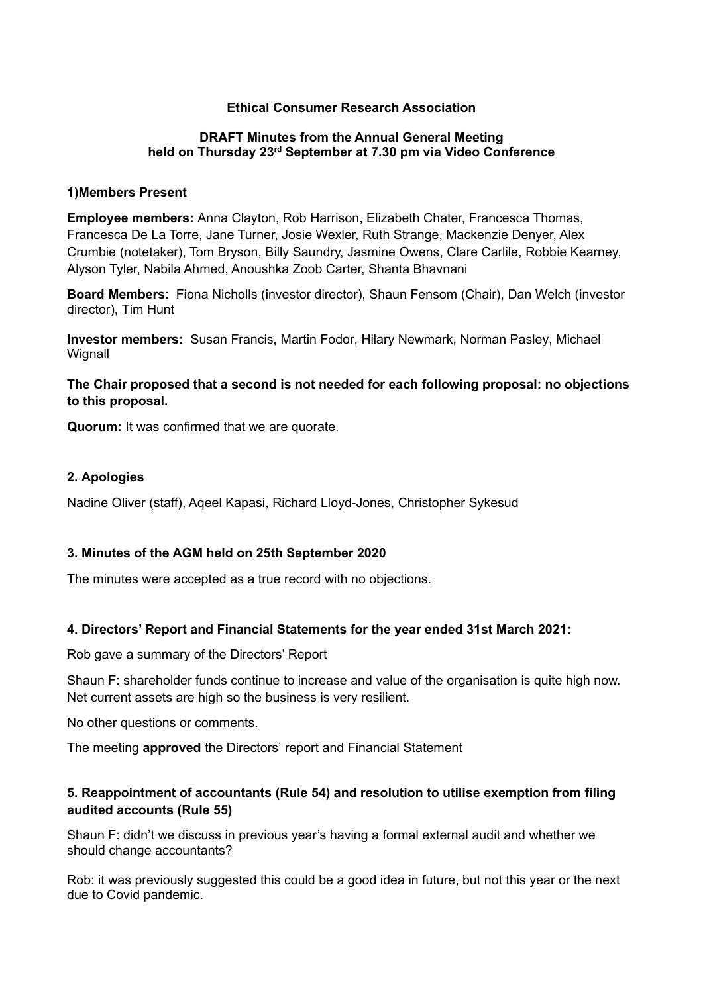# **Ethical Consumer Research Association**

#### **DRAFT Minutes from the Annual General Meeting held on Thursday 23rd September at 7.30 pm via Video Conference**

#### **1)Members Present**

**Employee members:** Anna Clayton, Rob Harrison, Elizabeth Chater, Francesca Thomas, Francesca De La Torre, Jane Turner, Josie Wexler, Ruth Strange, Mackenzie Denyer, Alex Crumbie (notetaker), Tom Bryson, Billy Saundry, Jasmine Owens, Clare Carlile, Robbie Kearney, Alyson Tyler, Nabila Ahmed, Anoushka Zoob Carter, Shanta Bhavnani

**Board Members**: Fiona Nicholls (investor director), Shaun Fensom (Chair), Dan Welch (investor director), Tim Hunt

**Investor members:** Susan Francis, Martin Fodor, Hilary Newmark, Norman Pasley, Michael **Wignall** 

# **The Chair proposed that a second is not needed for each following proposal: no objections to this proposal.**

**Quorum:** It was confirmed that we are quorate.

### **2. Apologies**

Nadine Oliver (staff), Aqeel Kapasi, Richard Lloyd-Jones, Christopher Sykesud

### **3. Minutes of the AGM held on 25th September 2020**

The minutes were accepted as a true record with no objections.

### **4. Directors' Report and Financial Statements for the year ended 31st March 2021:**

Rob gave a summary of the Directors' Report

Shaun F: shareholder funds continue to increase and value of the organisation is quite high now. Net current assets are high so the business is very resilient.

No other questions or comments.

The meeting **approved** the Directors' report and Financial Statement

# **5. Reappointment of accountants (Rule 54) and resolution to utilise exemption from filing audited accounts (Rule 55)**

Shaun F: didn't we discuss in previous year's having a formal external audit and whether we should change accountants?

Rob: it was previously suggested this could be a good idea in future, but not this year or the next due to Covid pandemic.